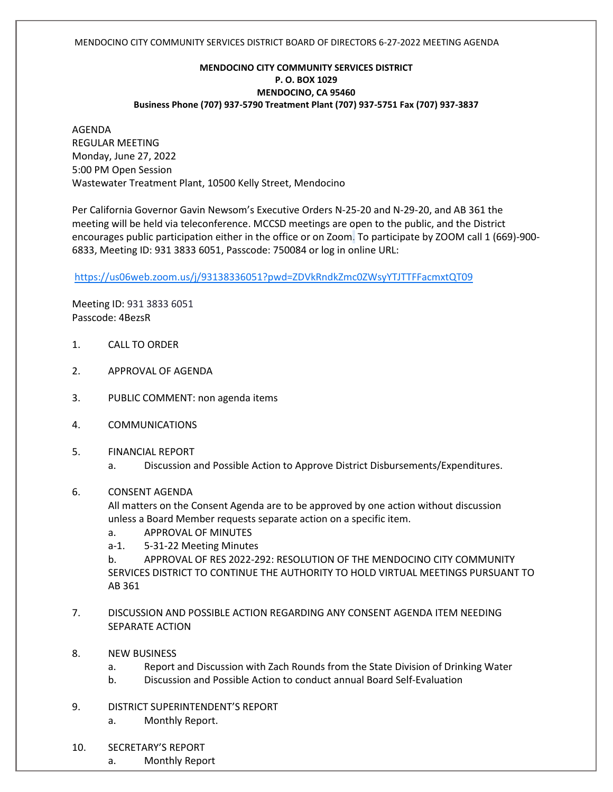#### MENDOCINO CITY COMMUNITY SERVICES DISTRICT BOARD OF DIRECTORS 6-27-2022 MEETING AGENDA

## **MENDOCINO CITY COMMUNITY SERVICES DISTRICT P. O. BOX 1029 MENDOCINO, CA 95460 Business Phone (707) 937-5790 Treatment Plant (707) 937-5751 Fax (707) 937-3837**

AGENDA REGULAR MEETING Monday, June 27, 2022 5:00 PM Open Session Wastewater Treatment Plant, 10500 Kelly Street, Mendocino

Per California Governor Gavin Newsom's Executive Orders N-25-20 and N-29-20, and AB 361 the meeting will be held via teleconference. MCCSD meetings are open to the public, and the District encourages public participation either in the office or on Zoom. To participate by ZOOM call 1 (669)-900- 6833, Meeting ID: 931 3833 6051, Passcode: 750084 or log in online URL:

<https://us06web.zoom.us/j/93138336051?pwd=ZDVkRndkZmc0ZWsyYTJTTFFacmxtQT09>

Meeting ID: 931 3833 6051 Passcode: 4BezsR

- 1. CALL TO ORDER
- 2. APPROVAL OF AGENDA
- 3. PUBLIC COMMENT: non agenda items
- 4. COMMUNICATIONS
- 5. FINANCIAL REPORT
	- a. Discussion and Possible Action to Approve District Disbursements/Expenditures.
- 6. CONSENT AGENDA

All matters on the Consent Agenda are to be approved by one action without discussion unless a Board Member requests separate action on a specific item.

- a. APPROVAL OF MINUTES
- a-1. 5-31-22 Meeting Minutes

b. APPROVAL OF RES 2022-292: RESOLUTION OF THE MENDOCINO CITY COMMUNITY SERVICES DISTRICT TO CONTINUE THE AUTHORITY TO HOLD VIRTUAL MEETINGS PURSUANT TO AB 361

- 7. DISCUSSION AND POSSIBLE ACTION REGARDING ANY CONSENT AGENDA ITEM NEEDING SEPARATE ACTION
- 8. NEW BUSINESS
	- a. Report and Discussion with Zach Rounds from the State Division of Drinking Water
	- b. Discussion and Possible Action to conduct annual Board Self-Evaluation
- 9. DISTRICT SUPERINTENDENT'S REPORT
	- a. Monthly Report.
- 10. SECRETARY'S REPORT
	- a. Monthly Report